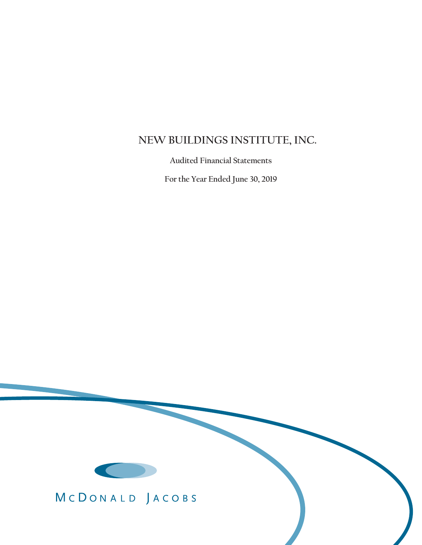# **NEW BUILDINGS INSTITUTE, INC.**

 **Audited Financial Statements**

 **For the Year Ended June 30, 2019**



MCDONALD JACOBS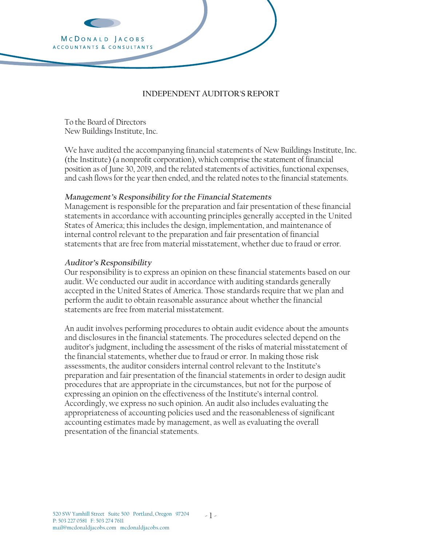

### **INDEPENDENT AUDITOR'S REPORT**

To the Board of Directors New Buildings Institute, Inc.

We have audited the accompanying financial statements of New Buildings Institute, Inc. (the Institute) (a nonprofit corporation), which comprise the statement of financial position as of June 30, 2019, and the related statements of activities, functional expenses, and cash flows for the year then ended, and the related notes to the financial statements.

#### **Management's Responsibility for the Financial Statements**

Management is responsible for the preparation and fair presentation of these financial statements in accordance with accounting principles generally accepted in the United States of America; this includes the design, implementation, and maintenance of internal control relevant to the preparation and fair presentation of financial statements that are free from material misstatement, whether due to fraud or error.

#### **Auditor's Responsibility**

audit. We conducted our audit in accordance with auditing standards generally<br>accepted in the United States of America. Those standards require that we plan and Our responsibility is to express an opinion on these financial statements based on our audit. We conducted our audit in accordance with auditing standards generally perform the audit to obtain reasonable assurance about whether the financial statements are free from material misstatement.

An audit involves performing procedures to obtain audit evidence about the amounts and disclosures in the financial statements. The procedures selected depend on the auditor's judgment, including the assessment of the risks of material misstatement of the financial statements, whether due to fraud or error. In making those risk assessments, the auditor considers internal control relevant to the Institute's preparation and fair presentation of the financial statements in order to design audit procedures that are appropriate in the circumstances, but not for the purpose of expressing an opinion on the effectiveness of the Institute's internal control. Accordingly, we express no such opinion. An audit also includes evaluating the appropriateness of accounting policies used and the reasonableness of significant accounting estimates made by management, as well as evaluating the overall presentation of the financial statements.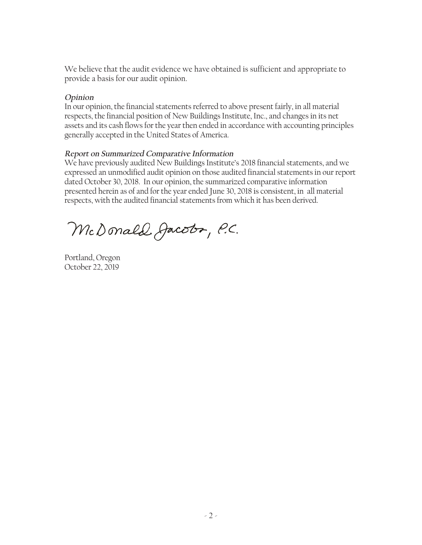We believe that the audit evidence we have obtained is sufficient and appropriate to provide a basis for our audit opinion.

# **Opinion**

In our opinion, the financial statements referred to above present fairly, in all material respects, the financial position of New Buildings Institute, Inc., and changes in its net assets and its cash flows for the year then ended in accordance with accounting principles generally accepted in the United States of America.

# **Report on Summarized Comparative Information**

We have previously audited New Buildings Institute's 2018 financial statements, and we expressed an unmodified audit opinion on those audited financial statements in our report dated October 30, 2018. In our opinion, the summarized comparative information presented herein as of and for the year ended June 30, 2018 is consistent, in all material respects, with the audited financial statements from which it has been derived.

McDonald Jacobs, P.C.

Portland, Oregon October 22, 2019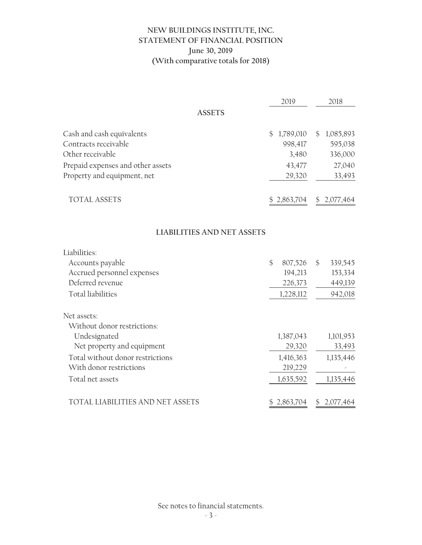# **NEW BUILDINGS INSTITUTE, INC. STATEMENT OF FINANCIAL POSITION June 30, 2019 (With comparative totals for 2018)**

|                                                                                                                                           | 2019                                                              | 2018                                                      |
|-------------------------------------------------------------------------------------------------------------------------------------------|-------------------------------------------------------------------|-----------------------------------------------------------|
| <b>ASSETS</b>                                                                                                                             |                                                                   |                                                           |
| Cash and cash equivalents<br>Contracts receivable<br>Other receivable<br>Prepaid expenses and other assets<br>Property and equipment, net | 1,789,010<br>$\mathbb{S}$<br>998,417<br>3,480<br>43,477<br>29,320 | \$1,085,893<br>595,038<br>336,000<br>27,040<br>33,493     |
| <b>TOTAL ASSETS</b>                                                                                                                       |                                                                   | $$2,863,704$ $$2,077,464$                                 |
|                                                                                                                                           |                                                                   |                                                           |
| <b>LIABILITIES AND NET ASSETS</b>                                                                                                         |                                                                   |                                                           |
| Liabilities:<br>Accounts payable<br>Accrued personnel expenses<br>Deferred revenue<br>Total liabilities                                   | \$<br>807,526<br>194,213<br>226,373<br>1,228,112                  | 339,545<br>$\mathcal{S}$<br>153,334<br>449,139<br>942,018 |
| Net assets:<br>Without donor restrictions:                                                                                                |                                                                   |                                                           |
| Undesignated<br>Net property and equipment                                                                                                | 1,387,043<br>29,320                                               | 1,101,953<br>33,493                                       |
| Total without donor restrictions<br>With donor restrictions                                                                               | 1,416,363<br>219,229                                              | 1,135,446                                                 |
| Total net assets                                                                                                                          | 1,635,592                                                         | 1,135,446                                                 |
| <b>TOTAL LIABILITIES AND NET ASSETS</b>                                                                                                   | \$2,863,704                                                       | \$<br>2,077,464                                           |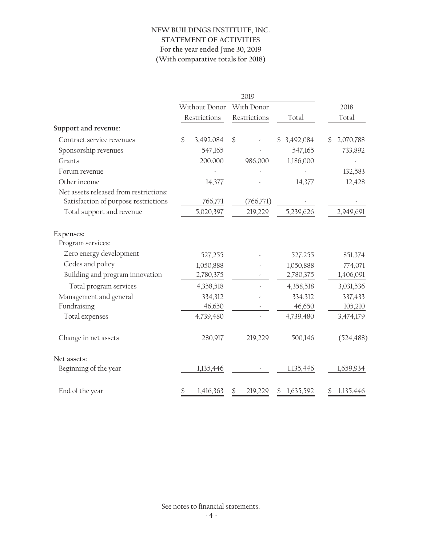# **NEW BUILDINGS INSTITUTE, INC. STATEMENT OF ACTIVITIES For the year ended June 30, 2019 (With comparative totals for 2018)**

|                                                                                | 2019 |               |            |              |    |             |                 |
|--------------------------------------------------------------------------------|------|---------------|------------|--------------|----|-------------|-----------------|
|                                                                                |      | Without Donor | With Donor |              |    |             | 2018            |
|                                                                                |      | Restrictions  |            | Restrictions |    | Total       | Total           |
| Support and revenue:                                                           |      |               |            |              |    |             |                 |
| Contract service revenues                                                      | \$   | 3,492,084     | \$         |              |    | \$3,492,084 | \$<br>2,070,788 |
| Sponsorship revenues                                                           |      | 547,165       |            |              |    | 547,165     | 733,892         |
| Grants                                                                         |      | 200,000       |            | 986,000      |    | 1,186,000   |                 |
| Forum revenue                                                                  |      |               |            |              |    |             | 132,583         |
| Other income                                                                   |      | 14,377        |            |              |    | 14,377      | 12,428          |
| Net assets released from restrictions:<br>Satisfaction of purpose restrictions |      | 766,771       |            | (766,771)    |    |             |                 |
| Total support and revenue                                                      |      | 5,020,397     |            | 219,229      |    | 5,239,626   | 2,949,691       |
| Expenses:<br>Program services:                                                 |      |               |            |              |    |             |                 |
| Zero energy development                                                        |      | 527,255       |            |              |    | 527,255     | 851,374         |
| Codes and policy                                                               |      | 1,050,888     |            |              |    | 1,050,888   | 774,071         |
| Building and program innovation                                                |      | 2,780,375     |            |              |    | 2,780,375   | 1,406,091       |
| Total program services                                                         |      | 4,358,518     |            |              |    | 4,358,518   | 3,031,536       |
| Management and general                                                         |      | 334,312       |            |              |    | 334,312     | 337,433         |
| Fundraising                                                                    |      | 46,650        |            |              |    | 46,650      | 105,210         |
| Total expenses                                                                 |      | 4,739,480     |            |              |    | 4,739,480   | 3,474,179       |
| Change in net assets                                                           |      | 280,917       |            | 219,229      |    | 500,146     | (524, 488)      |
| Net assets:                                                                    |      |               |            |              |    |             |                 |
| Beginning of the year                                                          |      | 1,135,446     |            |              |    | 1,135,446   | 1,659,934       |
| End of the year                                                                | \$   | 1,416,363     | \$         | 219,229      | \$ | 1,635,592   | 1,135,446       |

See notes to financial statements.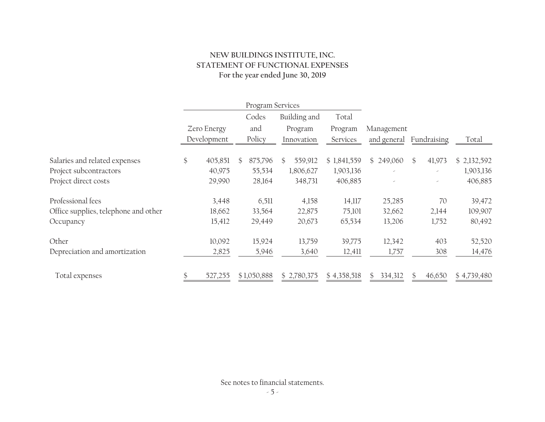# **NEW BUILDINGS INSTITUTE, INC. STATEMENT OF FUNCTIONAL EXPENSES For the year ended June 30, 2019**

|                                      | Program Services |               |             |               |             |                           |              |             |
|--------------------------------------|------------------|---------------|-------------|---------------|-------------|---------------------------|--------------|-------------|
|                                      |                  |               | Codes       | Building and  | Total       |                           |              |             |
|                                      | Zero Energy      |               | and         | Program       | Program     | Management                |              |             |
|                                      | Development      |               | Policy      | Innovation    | Services    | and general               | Fundraising  | Total       |
| Salaries and related expenses        | \$<br>405,851    | $\mathcal{S}$ | 875,796     | 559,912<br>S. | \$1,841,559 | \$249,060                 | \$<br>41,973 | \$2,132,592 |
| Project subcontractors               | 40,975           |               | 55,534      | 1,806,627     | 1,903,136   | ╱                         |              | 1,903,136   |
| Project direct costs                 | 29,990           |               | 28,164      | 348,731       | 406,885     |                           | -            | 406,885     |
| Professional fees                    | 3,448            |               | 6,511       | 4,158         | 14,117      | 25,285                    | 70           | 39,472      |
| Office supplies, telephone and other | 18,662           |               | 33,564      | 22,875        | 75,101      | 32,662                    | 2,144        | 109,907     |
| Occupancy                            | 15,412           |               | 29,449      | 20,673        | 65,534      | 13,206                    | 1,752        | 80,492      |
| Other                                | 10,092           |               | 15,924      | 13,759        | 39,775      | 12,342                    | 403          | 52,520      |
| Depreciation and amortization        | 2,825            |               | 5,946       | 3,640         | 12,411      | 1,757                     | 308          | 14,476      |
| Total expenses                       | 527,255          |               | \$1,050,888 | \$2,780,375   | \$4,358,518 | 334,312<br>$\mathbb{S}^-$ | \$<br>46,650 | \$4,739,480 |

See notes to financial statements.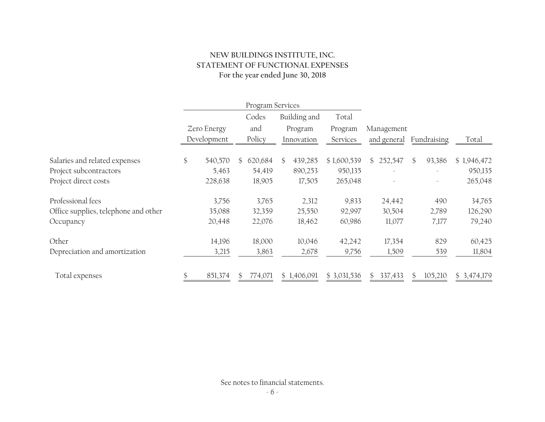# **NEW BUILDINGS INSTITUTE, INC. STATEMENT OF FUNCTIONAL EXPENSES For the year ended June 30, 2018**

|                                      | Program Services |               |         |     |              |             |                |             |               |                          |             |         |
|--------------------------------------|------------------|---------------|---------|-----|--------------|-------------|----------------|-------------|---------------|--------------------------|-------------|---------|
|                                      |                  |               | Codes   |     | Building and | Total       |                |             |               |                          |             |         |
|                                      | Zero Energy      |               | and     |     | Program      | Program     |                | Management  |               |                          |             |         |
|                                      | Development      |               | Policy  |     | Innovation   | Services    |                | and general |               | Fundraising              |             | Total   |
| Salaries and related expenses        | \$<br>540,570    | $\mathcal{S}$ | 620,684 | \$. | 439,285      | \$1,600,539 | $\mathbb{S}^-$ | 252,547     | $\mathcal{S}$ | 93,386                   | \$1,946,472 |         |
| Project subcontractors               | 5,463            |               | 54,419  |     | 890,253      | 950,135     |                | ╱           |               | $\overline{\phantom{a}}$ |             | 950,135 |
| Project direct costs                 | 228,638          |               | 18,905  |     | 17,505       | 265,048     |                |             |               | $\overline{\phantom{a}}$ |             | 265,048 |
| Professional fees                    | 3,756            |               | 3,765   |     | 2,312        | 9,833       |                | 24,442      |               | 490                      |             | 34,765  |
| Office supplies, telephone and other | 35,088           |               | 32,359  |     | 25,550       | 92,997      |                | 30,504      |               | 2,789                    |             | 126,290 |
| Occupancy                            | 20,448           |               | 22,076  |     | 18,462       | 60,986      |                | 11,077      |               | 7,177                    |             | 79,240  |
| Other                                | 14,196           |               | 18,000  |     | 10,046       | 42,242      |                | 17,354      |               | 829                      |             | 60,425  |
| Depreciation and amortization        | 3,215            |               | 3,863   |     | 2,678        | 9,756       |                | 1,509       |               | 539                      |             | 11,804  |
| Total expenses                       | 851,374          | S.            | 774,071 |     | \$1,406,091  | \$3,031,536 | $\mathbb{S}^-$ | 337,433     | $\mathbb{S}$  | 105,210                  | \$3,474,179 |         |

See notes to financial statements.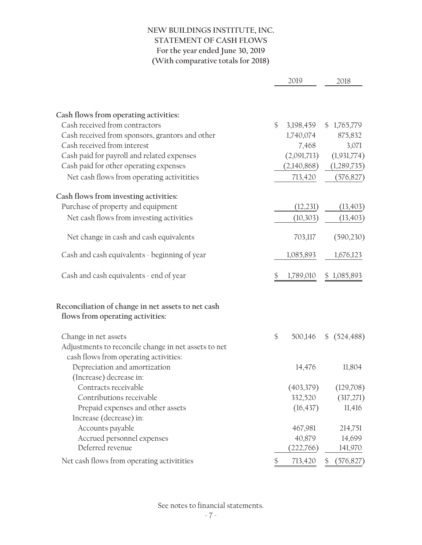# **NEW BUILDINGS INSTITUTE, INC. STATEMENT OF CASH FLOWS For the year ended June 30, 2019 (With comparative totals for 2018)**

|                                                      | 2019            | 2018          |
|------------------------------------------------------|-----------------|---------------|
|                                                      |                 |               |
| Cash flows from operating activities:                |                 |               |
| Cash received from contractors                       | \$<br>3,198,459 | \$1,765,779   |
| Cash received from sponsors, grantors and other      | 1,740,074       | 875,832       |
| Cash received from interest                          | 7,468           | 3,071         |
| Cash paid for payroll and related expenses           | (2,091,713)     | (1, 931, 774) |
| Cash paid for other operating expenses               | (2,140,868)     | (1, 289, 735) |
| Net cash flows from operating activitities           | 713,420         | (576, 827)    |
| Cash flows from investing activities:                |                 |               |
| Purchase of property and equipment                   | (12, 231)       | (13, 403)     |
| Net cash flows from investing activities             | (10, 303)       | (13, 403)     |
| Net change in cash and cash equivalents              | 703,117         | (590, 230)    |
| Cash and cash equivalents - beginning of year        | 1,085,893       | 1,676,123     |
| Cash and cash equivalents - end of year              | 1,789,010       | \$1,085,893   |
| Reconciliation of change in net assets to net cash   |                 |               |
| flows from operating activities:                     |                 |               |
| Change in net assets                                 | \$<br>500,146   | \$ (524,488)  |
| Adjustments to reconcile change in net assets to net |                 |               |
| cash flows from operating activities:                |                 |               |
| Depreciation and amortization                        | 14,476          | 11,804        |
| (Increase) decrease in:                              |                 |               |
| Contracts receivable                                 | (403,379)       | (129,708)     |
| Contributions receivable                             | 332,520         | (317, 271)    |
| Prepaid expenses and other assets                    | (16, 437)       | 11,416        |
| Increase (decrease) in:                              |                 |               |
| Accounts payable                                     | 467,981         | 214,751       |
| Accrued personnel expenses                           | 40,879          | 14,699        |
| Deferred revenue                                     | (222,766)       | 141,970       |
| Net cash flows from operating activitities           | 713,420         | (576, 827)    |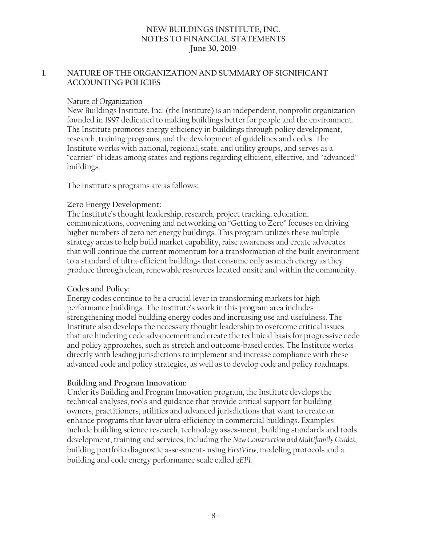#### **1. NATURE OF THE ORGANIZATION AND SUMMARY OF SIGNIFICANT ACCOUNTING POLICIES**

# Nature of Organization

New Buildings Institute, Inc. (the Institute) is an independent, nonprofit organization founded in 1997 dedicated to making buildings better for people and the environment. The Institute promotes energy efficiency in buildings through policy development, research, training programs, and the development of guidelines and codes. The Institute works with national, regional, state, and utility groups, and serves as a "carrier" of ideas among states and regions regarding efficient, effective, and "advanced" buildings.

The Institute's programs are as follows:

# **Zero Energy Development:**

The Institute's thought leadership, research, project tracking, education, communications, convening and networking on "Getting to Zero" focuses on driving higher numbers of zero net energy buildings. This program utilizes these multiple strategy areas to help build market capability, raise awareness and create advocates that will continue the current momentum for a transformation of the built environment to a standard of ultra-efficient buildings that consume only as much energy as they produce through clean, renewable resources located onsite and within the community.

# **Codes and Policy:**

Energy codes continue to be a crucial lever in transforming markets for high performance buildings. The Institute's work in this program area includes strengthening model building energy codes and increasing use and usefulness. The Institute also develops the necessary thought leadership to overcome critical issues that are hindering code advancement and create the technical basis for progressive code and policy approaches, such as stretch and outcome-based codes. The Institute works directly with leading jurisdictions to implement and increase compliance with these advanced code and policy strategies, as well as to develop code and policy roadmaps.

# **Building and Program Innovation:**

Under its Building and Program Innovation program, the Institute develops the technical analyses, tools and guidance that provide critical support for building owners, practitioners, utilities and advanced jurisdictions that want to create or enhance programs that favor ultra-efficiency in commercial buildings. Examples include building science research, technology assessment, building standards and tools development, training and services, including the *New Construction and Multifamily Guides*, building portfolio diagnostic assessments using *FirstView*, modeling protocols and a building and code energy performance scale called *zEPI*.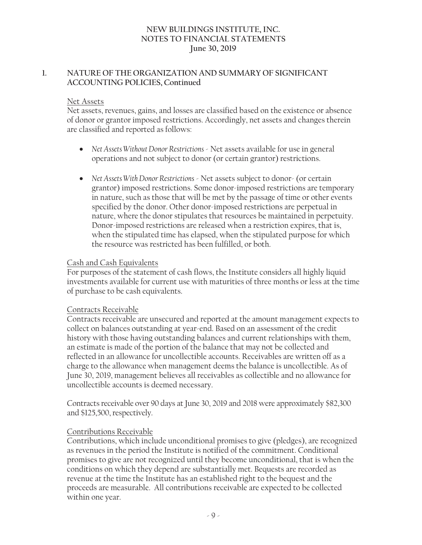#### **1. NATURE OF THE ORGANIZATION AND SUMMARY OF SIGNIFICANT ACCOUNTING POLICIES, Continued**

#### Net Assets

Net assets, revenues, gains, and losses are classified based on the existence or absence of donor or grantor imposed restrictions. Accordingly, net assets and changes therein are classified and reported as follows:

- ! *Net Assets Without Donor Restrictions* Net assets available for use in general operations and not subject to donor (or certain grantor) restrictions.
- *Net Assets With Donor Restrictions* Net assets subject to donor- (or certain grantor) imposed restrictions. Some donor-imposed restrictions are temporary in nature, such as those that will be met by the passage of time or other events specified by the donor. Other donor-imposed restrictions are perpetual in nature, where the donor stipulates that resources be maintained in perpetuity. Donor-imposed restrictions are released when a restriction expires, that is, when the stipulated time has elapsed, when the stipulated purpose for which the resource was restricted has been fulfilled, or both.

# Cash and Cash Equivalents

For purposes of the statement of cash flows, the Institute considers all highly liquid investments available for current use with maturities of three months or less at the time of purchase to be cash equivalents.

# Contracts Receivable

Contracts receivable are unsecured and reported at the amount management expects to collect on balances outstanding at year-end. Based on an assessment of the credit history with those having outstanding balances and current relationships with them, an estimate is made of the portion of the balance that may not be collected and reflected in an allowance for uncollectible accounts. Receivables are written off as a charge to the allowance when management deems the balance is uncollectible. As of June 30, 2019, management believes all receivables as collectible and no allowance for uncollectible accounts is deemed necessary.

Contracts receivable over 90 days at June 30, 2019 and 2018 were approximately \$82,300 and \$125,500, respectively.

# Contributions Receivable

Contributions, which include unconditional promises to give (pledges), are recognized as revenues in the period the Institute is notified of the commitment. Conditional promises to give are not recognized until they become unconditional, that is when the conditions on which they depend are substantially met. Bequests are recorded as revenue at the time the Institute has an established right to the bequest and the proceeds are measurable. All contributions receivable are expected to be collected within one year.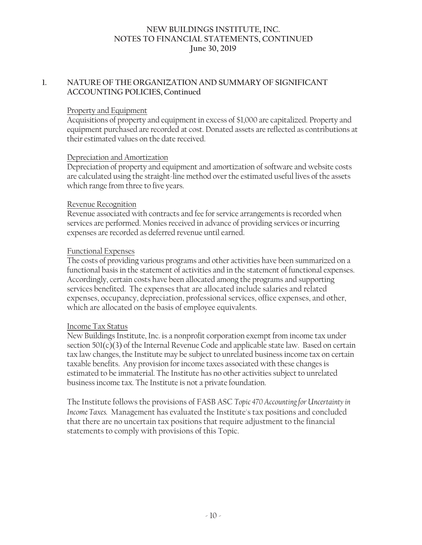### **1. NATURE OF THE ORGANIZATION AND SUMMARY OF SIGNIFICANT ACCOUNTING POLICIES, Continued**

#### Property and Equipment

Acquisitions of property and equipment in excess of \$1,000 are capitalized. Property and equipment purchased are recorded at cost. Donated assets are reflected as contributions at their estimated values on the date received.

#### Depreciation and Amortization

Depreciation of property and equipment and amortization of software and website costs are calculated using the straight-line method over the estimated useful lives of the assets which range from three to five years.

#### Revenue Recognition

Revenue associated with contracts and fee for service arrangements is recorded when services are performed. Monies received in advance of providing services or incurring expenses are recorded as deferred revenue until earned.

# Functional Expenses

The costs of providing various programs and other activities have been summarized on a functional basis in the statement of activities and in the statement of functional expenses. Accordingly, certain costs have been allocated among the programs and supporting services benefited. The expenses that are allocated include salaries and related expenses, occupancy, depreciation, professional services, office expenses, and other, which are allocated on the basis of employee equivalents.

#### Income Tax Status

New Buildings Institute, Inc. is a nonprofit corporation exempt from income tax under section 501(c)(3) of the Internal Revenue Code and applicable state law. Based on certain tax law changes, the Institute may be subject to unrelated business income tax on certain taxable benefits. Any provision for income taxes associated with these changes is estimated to be immaterial. The Institute has no other activities subject to unrelated business income tax. The Institute is not a private foundation.

The Institute follows the provisions of FASB ASC *Topic 470 Accounting for Uncertainty in Income Taxes.* Management has evaluated the Institute's tax positions and concluded that there are no uncertain tax positions that require adjustment to the financial statements to comply with provisions of this Topic.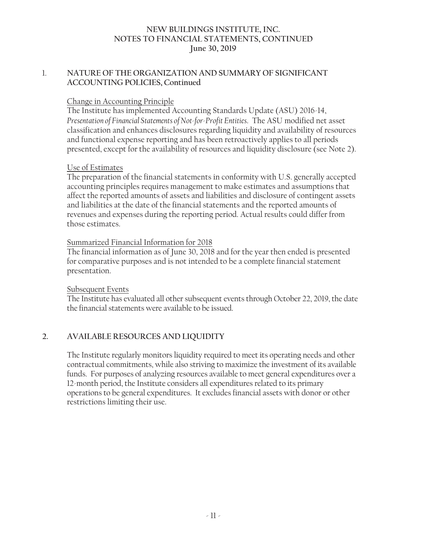#### 1. **NATURE OF THE ORGANIZATION AND SUMMARY OF SIGNIFICANT ACCOUNTING POLICIES, Continued**

# Change in Accounting Principle

The Institute has implemented Accounting Standards Update (ASU) 2016-14, *Presentation of Financial Statements of Not-for-Profit Entities*. The ASU modified net asset classification and enhances disclosures regarding liquidity and availability of resources and functional expense reporting and has been retroactively applies to all periods presented, except for the availability of resources and liquidity disclosure (see Note 2).

# Use of Estimates

The preparation of the financial statements in conformity with U.S. generally accepted accounting principles requires management to make estimates and assumptions that affect the reported amounts of assets and liabilities and disclosure of contingent assets and liabilities at the date of the financial statements and the reported amounts of revenues and expenses during the reporting period. Actual results could differ from those estimates.

# Summarized Financial Information for 2018

The financial information as of June 30, 2018 and for the year then ended is presented for comparative purposes and is not intended to be a complete financial statement presentation.

# Subsequent Events

The Institute has evaluated all other subsequent events through October 22, 2019, the date the financial statements were available to be issued.

# **2. AVAILABLE RESOURCES AND LIQUIDITY**

The Institute regularly monitors liquidity required to meet its operating needs and other contractual commitments, while also striving to maximize the investment of its available funds. For purposes of analyzing resources available to meet general expenditures over a 12-month period, the Institute considers all expenditures related to its primary operations to be general expenditures. It excludes financial assets with donor or other restrictions limiting their use.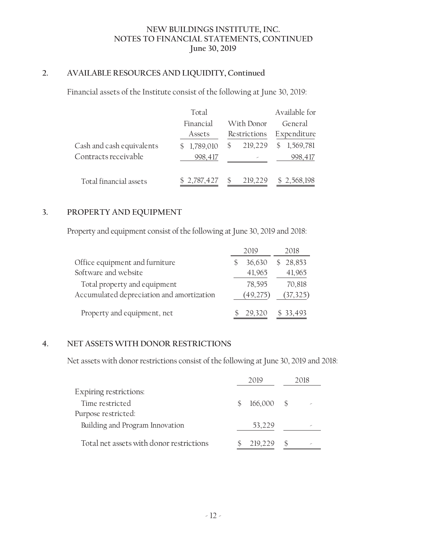# **2. AVAILABLE RESOURCES AND LIQUIDITY, Continued**

Financial assets of the Institute consist of the following at June 30, 2019:

|                           | Total                   | Available for |                          |             |             |  |
|---------------------------|-------------------------|---------------|--------------------------|-------------|-------------|--|
|                           | Financial<br>With Donor |               |                          |             | General     |  |
|                           | Assets                  |               | Restrictions             | Expenditure |             |  |
| Cash and cash equivalents | \$1,789,010             |               | 219,229                  |             | \$1,569,781 |  |
| Contracts receivable      | 998,417                 |               | $\overline{\phantom{a}}$ |             | 998,417     |  |
| Total financial assets    | \$2,787,427             |               | 219,229                  |             | \$2,568,198 |  |

# **3. PROPERTY AND EQUIPMENT**

Property and equipment consist of the following at June 30, 2019 and 2018:

|                                           | 2019      | 2018      |
|-------------------------------------------|-----------|-----------|
| Office equipment and furniture            | 36,630    | \$28,853  |
| Software and website                      | 41,965    | 41,965    |
| Total property and equipment              | 78,595    | 70,818    |
| Accumulated depreciation and amortization | (49, 275) | (37, 325) |
| Property and equipment, net               | 29,320    | \$33,493  |

# **4. NET ASSETS WITH DONOR RESTRICTIONS**

Net assets with donor restrictions consist of the following at June 30, 2019 and 2018:

|                                          |   | 2019         |  | 2018 |
|------------------------------------------|---|--------------|--|------|
| <b>Expiring restrictions:</b>            |   |              |  |      |
| Time restricted                          | S | $166,000$ \$ |  |      |
| Purpose restricted:                      |   |              |  |      |
| Building and Program Innovation          |   | 53,229       |  |      |
| Total net assets with donor restrictions |   | 219,229      |  |      |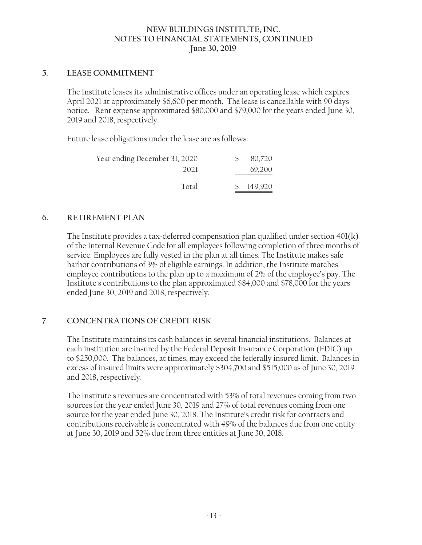#### **5. LEASE COMMITMENT**

The Institute leases its administrative offices under an operating lease which expires April 2021 at approximately \$6,600 per month. The lease is cancellable with 90 days notice. Rent expense approximated \$80,000 and \$79,000 for the years ended June 30, 2019 and 2018, respectively.

Future lease obligations under the lease are as follows:

| Year ending December 31, 2020 |  | 80,720    |
|-------------------------------|--|-----------|
| 2021                          |  | 69,200    |
| Total                         |  | \$149,920 |
|                               |  |           |

# **6. RETIREMENT PLAN**

The Institute provides a tax-deferred compensation plan qualified under section 401(k) of the Internal Revenue Code for all employees following completion of three months of service. Employees are fully vested in the plan at all times. The Institute makes safe harbor contributions of 3% of eligible earnings. In addition, the Institute matches employee contributions to the plan up to a maximum of 2% of the employee's pay. The Institute's contributions to the plan approximated \$84,000 and \$78,000 for the years ended June 30, 2019 and 2018, respectively.

#### **7. CONCENTRATIONS OF CREDIT RISK**

The Institute maintains its cash balances in several financial institutions. Balances at each institution are insured by the Federal Deposit Insurance Corporation (FDIC) up to \$250,000. The balances, at times, may exceed the federally insured limit. Balances in excess of insured limits were approximately \$304,700 and \$515,000 as of June 30, 2019 and 2018, respectively.

The Institute's revenues are concentrated with 53% of total revenues coming from two sources for the year ended June 30, 2019 and 27% of total revenues coming from one source for the year ended June 30, 2018. The Institute's credit risk for contracts and contributions receivable is concentrated with 49% of the balances due from one entity at June 30, 2019 and 52% due from three entities at June 30, 2018.